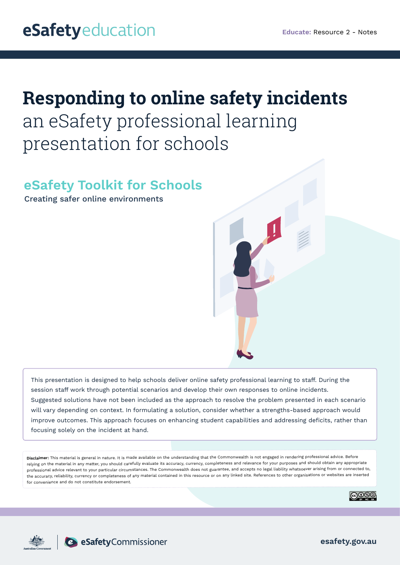# **Responding to online safety incidents**  an eSafety professional learning presentation for schools

# **eSafety Toolkit for Schools**

Creating safer online environments

This presentation is designed to help schools deliver online safety professional learning to staff. During the session staff work through potential scenarios and develop their own responses to online incidents. Suggested solutions have not been included as the approach to resolve the problem presented in each scenario will vary depending on context. In formulating a solution, consider whether a strengths-based approach would improve outcomes. This approach focuses on enhancing student capabilities and addressing deficits, rather than focusing solely on the incident at hand.

**Disclaimer:** This material is general in nature. It is made available on the understanding that the Commonwealth is not engaged in rendering professional advice. Before relying on the material in any matter, you should carefully evaluate its accuracy, currency, completeness and relevance for your purposes and should obtain any appropriate professional advice relevant to your particular circumstances. The Commonwealth does not guarantee, and accepts no legal liability whatsoever arising from or connected to, the accuracy, reliability, currency or completeness of any material contained in this resource or on any linked site. References to other organisations or websites are inserted for convenience and do not constitute endorsement.





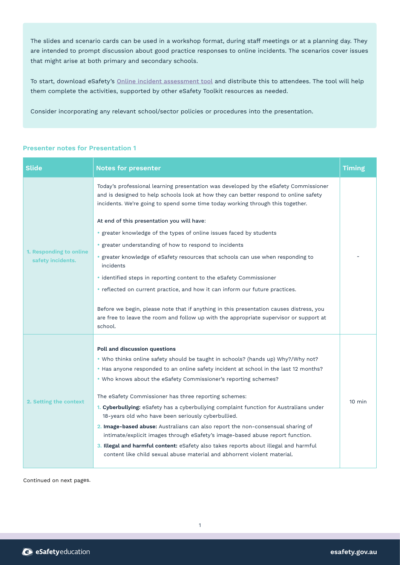The slides and scenario cards can be used in a workshop format, during staff meetings or at a planning day. They are intended to prompt discussion about good practice responses to online incidents. The scenarios cover issues that might arise at both primary and secondary schools.

To start, download eSafety's [Online incident assessment tool](https://esafety.gov.au/educators/toolkit-schools/respond ) and distribute this to attendees. The tool will help them complete the activities, supported by other eSafety Toolkit resources as needed.

Consider incorporating any relevant school/sector policies or procedures into the presentation.

| <b>Notes for presenter</b>                                                                                                                                                                                                                                     | <b>Timing</b>                                                                                                                                                                                             |
|----------------------------------------------------------------------------------------------------------------------------------------------------------------------------------------------------------------------------------------------------------------|-----------------------------------------------------------------------------------------------------------------------------------------------------------------------------------------------------------|
| Today's professional learning presentation was developed by the eSafety Commissioner<br>and is designed to help schools look at how they can better respond to online safety<br>incidents. We're going to spend some time today working through this together. |                                                                                                                                                                                                           |
| At end of this presentation you will have:                                                                                                                                                                                                                     |                                                                                                                                                                                                           |
| • greater knowledge of the types of online issues faced by students                                                                                                                                                                                            |                                                                                                                                                                                                           |
| • greater understanding of how to respond to incidents                                                                                                                                                                                                         |                                                                                                                                                                                                           |
| • greater knowledge of eSafety resources that schools can use when responding to<br>incidents                                                                                                                                                                  |                                                                                                                                                                                                           |
| · identified steps in reporting content to the eSafety Commissioner                                                                                                                                                                                            |                                                                                                                                                                                                           |
| • reflected on current practice, and how it can inform our future practices.                                                                                                                                                                                   |                                                                                                                                                                                                           |
| Before we begin, please note that if anything in this presentation causes distress, you<br>are free to leave the room and follow up with the appropriate supervisor or support at<br>school.                                                                   |                                                                                                                                                                                                           |
|                                                                                                                                                                                                                                                                |                                                                                                                                                                                                           |
|                                                                                                                                                                                                                                                                | $10 \text{ min}$                                                                                                                                                                                          |
|                                                                                                                                                                                                                                                                |                                                                                                                                                                                                           |
| . Who knows about the eSafety Commissioner's reporting schemes?                                                                                                                                                                                                |                                                                                                                                                                                                           |
| The eSafety Commissioner has three reporting schemes:                                                                                                                                                                                                          |                                                                                                                                                                                                           |
| 1. Cyberbullying: eSafety has a cyberbullying complaint function for Australians under<br>18-years old who have been seriously cyberbullied.                                                                                                                   |                                                                                                                                                                                                           |
| 2. Image-based abuse: Australians can also report the non-consensual sharing of<br>intimate/explicit images through eSafety's image-based abuse report function.                                                                                               |                                                                                                                                                                                                           |
| 3. Illegal and harmful content: eSafety also takes reports about illegal and harmful<br>content like child sexual abuse material and abhorrent violent material.                                                                                               |                                                                                                                                                                                                           |
|                                                                                                                                                                                                                                                                | Poll and discussion questions<br>. Who thinks online safety should be taught in schools? (hands up) Why?/Why not?<br>• Has anyone responded to an online safety incident at school in the last 12 months? |

# **Presenter notes for Presentation 1**

Continued on next pages.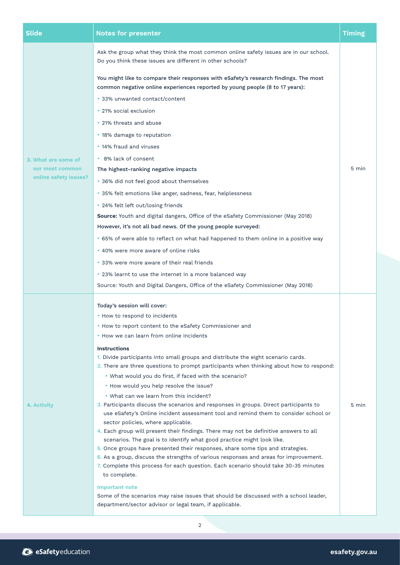| <b>Slide</b>          | <b>Notes for presenter</b>                                                                                                                                                   | <b>Timing</b> |
|-----------------------|------------------------------------------------------------------------------------------------------------------------------------------------------------------------------|---------------|
|                       | Ask the group what they think the most common online safety issues are in our school.<br>Do you think these issues are different in other schools?                           |               |
|                       | You might like to compare their responses with eSafety's research findings. The most<br>common negative online experiences reported by young people (8 to 17 years):         |               |
|                       | • 33% unwanted contact/content                                                                                                                                               |               |
|                       | • 21% social exclusion                                                                                                                                                       |               |
|                       | • 21% threats and abuse                                                                                                                                                      |               |
|                       | • 18% damage to reputation                                                                                                                                                   |               |
|                       | • 14% fraud and viruses                                                                                                                                                      |               |
| 3. What are some of   | • 8% lack of consent                                                                                                                                                         |               |
| our most common       | The highest-ranking negative impacts                                                                                                                                         | 5 min         |
| online safety issues? | • 36% did not feel good about themselves                                                                                                                                     |               |
|                       | • 35% felt emotions like anger, sadness, fear, helplessness                                                                                                                  |               |
|                       | • 24% felt left out/losing friends                                                                                                                                           |               |
|                       | Source: Youth and digital dangers, Office of the eSafety Commissioner (May 2018)                                                                                             |               |
|                       | However, it's not all bad news. Of the young people surveyed:                                                                                                                |               |
|                       | • 65% of were able to reflect on what had happened to them online in a positive way                                                                                          |               |
|                       | • 40% were more aware of online risks                                                                                                                                        |               |
|                       | • 33% were more aware of their real friends                                                                                                                                  |               |
|                       | • 23% learnt to use the internet in a more balanced way                                                                                                                      |               |
|                       | Source: Youth and Digital Dangers, Office of the eSafety Commissioner (May 2018)                                                                                             |               |
|                       | Today's session will cover:                                                                                                                                                  |               |
|                       | • How to respond to incidents                                                                                                                                                |               |
|                       | • How to report content to the eSafety Commissioner and                                                                                                                      |               |
|                       | • How we can learn from online incidents                                                                                                                                     |               |
|                       | <b>Instructions</b>                                                                                                                                                          |               |
|                       | 1. Divide participants into small groups and distribute the eight scenario cards.<br>2. There are three questions to prompt participants when thinking about how to respond: |               |
|                       | . What would you do first, if faced with the scenario?                                                                                                                       | 5 min         |
|                       | . How would you help resolve the issue?                                                                                                                                      |               |
|                       | • What can we learn from this incident?                                                                                                                                      |               |
| 4. Activity           | 3. Participants discuss the scenarios and responses in groups. Direct participants to                                                                                        |               |
|                       | use eSafety's Online incident assessment tool and remind them to consider school or<br>sector policies, where applicable.                                                    |               |
|                       | 4. Each group will present their findings. There may not be definitive answers to all                                                                                        |               |
|                       | scenarios. The goal is to identify what good practice might look like.                                                                                                       |               |
|                       | 5. Once groups have presented their responses, share some tips and strategies.<br>6. As a group, discuss the strengths of various responses and areas for improvement.       |               |
|                       | 7. Complete this process for each question. Each scenario should take 30-35 minutes<br>to complete.                                                                          |               |
|                       | <b>Important note</b>                                                                                                                                                        |               |
|                       | Some of the scenarios may raise issues that should be discussed with a school leader,<br>department/sector advisor or legal team, if applicable.                             |               |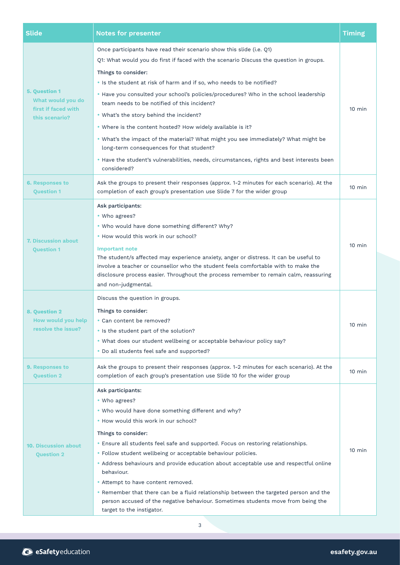| <b>Slide</b>                                                     | <b>Notes for presenter</b>                                                                                                                                                                                                                                                                                                                                                                                                                                                                                                                                                                                                                                         | <b>Timing</b>    |
|------------------------------------------------------------------|--------------------------------------------------------------------------------------------------------------------------------------------------------------------------------------------------------------------------------------------------------------------------------------------------------------------------------------------------------------------------------------------------------------------------------------------------------------------------------------------------------------------------------------------------------------------------------------------------------------------------------------------------------------------|------------------|
|                                                                  | Once participants have read their scenario show this slide (i.e. Q1)<br>Q1: What would you do first if faced with the scenario Discuss the question in groups.                                                                                                                                                                                                                                                                                                                                                                                                                                                                                                     | $10 \text{ min}$ |
|                                                                  | Things to consider:<br>. Is the student at risk of harm and if so, who needs to be notified?                                                                                                                                                                                                                                                                                                                                                                                                                                                                                                                                                                       |                  |
| <b>5. Question 1</b><br>What would you do                        | . Have you consulted your school's policies/procedures? Who in the school leadership<br>team needs to be notified of this incident?                                                                                                                                                                                                                                                                                                                                                                                                                                                                                                                                |                  |
| first if faced with<br>this scenario?                            | . What's the story behind the incident?                                                                                                                                                                                                                                                                                                                                                                                                                                                                                                                                                                                                                            |                  |
|                                                                  | . Where is the content hosted? How widely available is it?                                                                                                                                                                                                                                                                                                                                                                                                                                                                                                                                                                                                         |                  |
|                                                                  | . What's the impact of the material? What might you see immediately? What might be<br>long-term consequences for that student?                                                                                                                                                                                                                                                                                                                                                                                                                                                                                                                                     |                  |
|                                                                  | . Have the student's vulnerabilities, needs, circumstances, rights and best interests been<br>considered?                                                                                                                                                                                                                                                                                                                                                                                                                                                                                                                                                          |                  |
| <b>6. Responses to</b><br><b>Question 1</b>                      | Ask the groups to present their responses (approx. 1-2 minutes for each scenario). At the<br>completion of each group's presentation use Slide 7 for the wider group                                                                                                                                                                                                                                                                                                                                                                                                                                                                                               | $10 \text{ min}$ |
| 7. Discussion about<br><b>Question 1</b>                         | Ask participants:<br>• Who agrees?<br>. Who would have done something different? Why?<br>• How would this work in our school?<br><b>Important note</b><br>The student/s affected may experience anxiety, anger or distress. It can be useful to<br>involve a teacher or counsellor who the student feels comfortable with to make the<br>disclosure process easier. Throughout the process remember to remain calm, reassuring                                                                                                                                                                                                                                     | $10 \text{ min}$ |
| <b>8. Question 2</b><br>How would you help<br>resolve the issue? | and non-judgmental.<br>Discuss the question in groups.<br>Things to consider:<br>• Can content be removed?<br>• Is the student part of the solution?<br>. What does our student wellbeing or acceptable behaviour policy say?<br>. Do all students feel safe and supported?                                                                                                                                                                                                                                                                                                                                                                                        | $10$ min         |
| 9. Responses to<br><b>Question 2</b>                             | Ask the groups to present their responses (approx. 1-2 minutes for each scenario). At the<br>completion of each group's presentation use Slide 10 for the wider group                                                                                                                                                                                                                                                                                                                                                                                                                                                                                              | $10 \text{ min}$ |
| <b>10. Discussion about</b><br><b>Question 2</b>                 | Ask participants:<br>• Who agrees?<br>. Who would have done something different and why?<br>. How would this work in our school?<br>Things to consider:<br>• Ensure all students feel safe and supported. Focus on restoring relationships.<br>• Follow student wellbeing or acceptable behaviour policies.<br>• Address behaviours and provide education about acceptable use and respectful online<br>behaviour.<br>• Attempt to have content removed.<br>. Remember that there can be a fluid relationship between the targeted person and the<br>person accused of the negative behaviour. Sometimes students move from being the<br>target to the instigator. | $10 \text{ min}$ |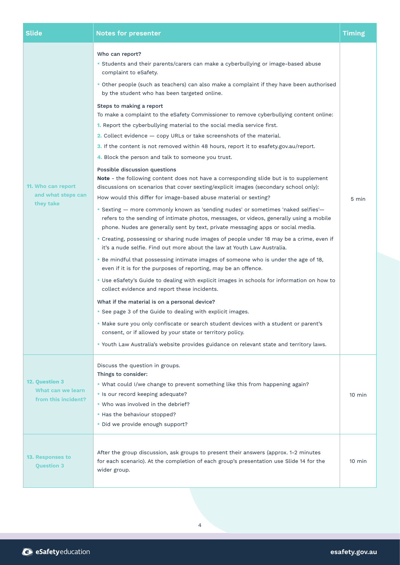| <b>Slide</b>                                               | <b>Notes for presenter</b>                                                                                                                                                                                                                                                                                                                                                                                                                                                                                                                                                                                                                                                                                                                                                                                                                                                                                                                                                                                                                                                                                                                                                                                                                                                                                                                                                                                                                                                                                                                                                                                                                                                                                                                                                                                                                                                                                                                                                                                                                                                                                       | <b>Timing</b>    |
|------------------------------------------------------------|------------------------------------------------------------------------------------------------------------------------------------------------------------------------------------------------------------------------------------------------------------------------------------------------------------------------------------------------------------------------------------------------------------------------------------------------------------------------------------------------------------------------------------------------------------------------------------------------------------------------------------------------------------------------------------------------------------------------------------------------------------------------------------------------------------------------------------------------------------------------------------------------------------------------------------------------------------------------------------------------------------------------------------------------------------------------------------------------------------------------------------------------------------------------------------------------------------------------------------------------------------------------------------------------------------------------------------------------------------------------------------------------------------------------------------------------------------------------------------------------------------------------------------------------------------------------------------------------------------------------------------------------------------------------------------------------------------------------------------------------------------------------------------------------------------------------------------------------------------------------------------------------------------------------------------------------------------------------------------------------------------------------------------------------------------------------------------------------------------------|------------------|
| 11. Who can report<br>and what steps can<br>they take      | Who can report?<br>• Students and their parents/carers can make a cyberbullying or image-based abuse<br>complaint to eSafety.<br>. Other people (such as teachers) can also make a complaint if they have been authorised<br>by the student who has been targeted online.<br>Steps to making a report<br>To make a complaint to the eSafety Commissioner to remove cyberbullying content online:<br><b>1.</b> Report the cyberbullying material to the social media service first.<br>2. Collect evidence - copy URLs or take screenshots of the material.<br>3. If the content is not removed within 48 hours, report it to esafety.gov.au/report.<br>4. Block the person and talk to someone you trust.<br>Possible discussion questions<br>Note - the following content does not have a corresponding slide but is to supplement<br>discussions on scenarios that cover sexting/explicit images (secondary school only):<br>How would this differ for image-based abuse material or sexting?<br>• Sexting - more commonly known as 'sending nudes' or sometimes 'naked selfies'-<br>refers to the sending of intimate photos, messages, or videos, generally using a mobile<br>phone. Nudes are generally sent by text, private messaging apps or social media.<br>• Creating, possessing or sharing nude images of people under 18 may be a crime, even if<br>it's a nude selfie. Find out more about the law at Youth Law Australia.<br>• Be mindful that possessing intimate images of someone who is under the age of 18,<br>even if it is for the purposes of reporting, may be an offence.<br>. Use eSafety's Guide to dealing with explicit images in schools for information on how to<br>collect evidence and report these incidents.<br>What if the material is on a personal device?<br>• See page 3 of the Guide to dealing with explicit images.<br>• Make sure you only confiscate or search student devices with a student or parent's<br>consent, or if allowed by your state or territory policy.<br>. Youth Law Australia's website provides guidance on relevant state and territory laws. | 5 min            |
| 12. Question 3<br>What can we learn<br>from this incident? | Discuss the question in groups.<br>Things to consider:<br>. What could I/we change to prevent something like this from happening again?<br>· Is our record keeping adequate?<br>. Who was involved in the debrief?<br>• Has the behaviour stopped?<br>· Did we provide enough support?                                                                                                                                                                                                                                                                                                                                                                                                                                                                                                                                                                                                                                                                                                                                                                                                                                                                                                                                                                                                                                                                                                                                                                                                                                                                                                                                                                                                                                                                                                                                                                                                                                                                                                                                                                                                                           | $10$ min         |
| 13. Responses to<br><b>Question 3</b>                      | After the group discussion, ask groups to present their answers (approx. 1-2 minutes<br>for each scenario). At the completion of each group's presentation use Slide 14 for the<br>wider group.                                                                                                                                                                                                                                                                                                                                                                                                                                                                                                                                                                                                                                                                                                                                                                                                                                                                                                                                                                                                                                                                                                                                                                                                                                                                                                                                                                                                                                                                                                                                                                                                                                                                                                                                                                                                                                                                                                                  | $10 \text{ min}$ |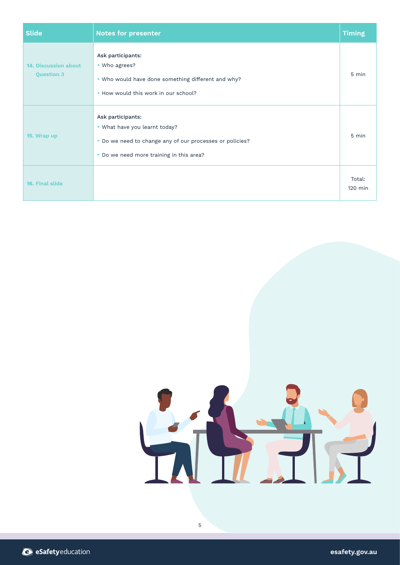| <b>Slide</b>                                     | <b>Notes for presenter</b>                                                                                                                                 | <b>Timing</b>       |
|--------------------------------------------------|------------------------------------------------------------------------------------------------------------------------------------------------------------|---------------------|
| <b>14. Discussion about</b><br><b>Question 3</b> | Ask participants:<br>• Who agrees?<br>. Who would have done something different and why?<br>. How would this work in our school?                           | 5 min               |
| 15. Wrap up                                      | Ask participants:<br>• What have you learnt today?<br>. Do we need to change any of our processes or policies?<br>• Do we need more training in this area? | 5 min               |
| 16. Final slide                                  |                                                                                                                                                            | Total:<br>$120$ min |



5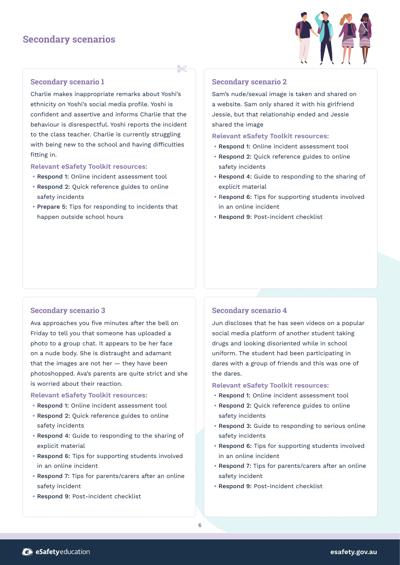# **Secondary scenarios**



# **Secondary scenario 1**

Charlie makes inappropriate remarks about Yoshi's ethnicity on Yoshi's social media profile. Yoshi is confident and assertive and informs Charlie that the behaviour is disrespectful. Yoshi reports the incident to the class teacher. Charlie is currently struggling with being new to the school and having difficulties fitting in.

**Relevant eSafety Toolkit resources:**

- Respond 1: Online incident assessment tool
- Respond 2: Quick reference guides to online safety incidents
- Prepare 5: Tips for responding to incidents that happen outside school hours

# **Secondary scenario 2**

Sam's nude/sexual image is taken and shared on a website. Sam only shared it with his girlfriend Jessie, but that relationship ended and Jessie shared the image

**Relevant eSafety Toolkit resources:**

- Respond 1: Online incident assessment tool
- Respond 2: Quick reference guides to online safety incidents
- Respond 4: Guide to responding to the sharing of explicit material
- Respond 6: Tips for supporting students involved in an online incident
- Respond 9: Post-incident checklist

# **Secondary scenario 3**

Ava approaches you five minutes after the bell on Friday to tell you that someone has uploaded a photo to a group chat. It appears to be her face on a nude body. She is distraught and adamant that the images are not her  $-$  they have been photoshopped. Ava's parents are quite strict and she is worried about their reaction.

#### **Relevant eSafety Toolkit resources:**

- Respond 1: Online incident assessment tool
- Respond 2: Quick reference guides to online safety incidents
- Respond 4: Guide to responding to the sharing of explicit material
- Respond 6: Tips for supporting students involved in an online incident
- Respond 7: Tips for parents/carers after an online safety incident
- Respond 9: Post-incident checklist

# **Secondary scenario 4**

Jun discloses that he has seen videos on a popular social media platform of another student taking drugs and looking disoriented while in school uniform. The student had been participating in dares with a group of friends and this was one of the dares.

- Respond 1: Online incident assessment tool
- Respond 2: Quick reference guides to online safety incidents
- Respond 3: Guide to responding to serious online safety incidents
- Respond 6: Tips for supporting students involved in an online incident
- Respond 7: Tips for parents/carers after an online safety incident
- Respond 9: Post-incident checklist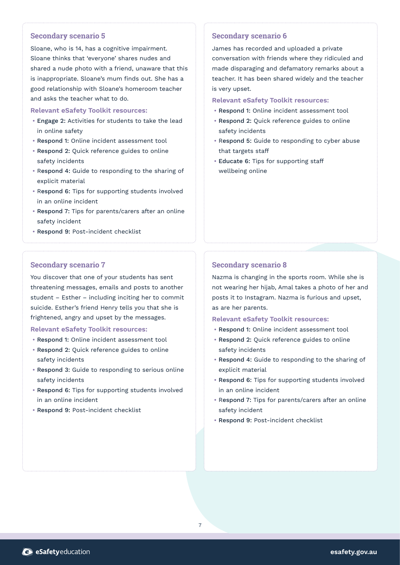# **Secondary scenario 5**

Sloane, who is 14, has a cognitive impairment. Sloane thinks that 'everyone' shares nudes and shared a nude photo with a friend, unaware that this is inappropriate. Sloane's mum finds out. She has a good relationship with Sloane's homeroom teacher and asks the teacher what to do.

#### **Relevant eSafety Toolkit resources:**

- Engage 2: Activities for students to take the lead in online safety
- Respond 1: Online incident assessment tool
- Respond 2: Quick reference guides to online safety incidents
- Respond 4: Guide to responding to the sharing of explicit material
- Respond 6: Tips for supporting students involved in an online incident
- Respond 7: Tips for parents/carers after an online safety incident
- Respond 9: Post-incident checklist

# **Secondary scenario 7**

You discover that one of your students has sent threatening messages, emails and posts to another student – Esther – including inciting her to commit suicide. Esther's friend Henry tells you that she is frightened, angry and upset by the messages.

# **Relevant eSafety Toolkit resources:**

- Respond 1: Online incident assessment tool
- Respond 2: Quick reference guides to online safety incidents
- Respond 3: Guide to responding to serious online safety incidents
- Respond 6: Tips for supporting students involved in an online incident
- Respond 9: Post-incident checklist

# **Secondary scenario 6**

James has recorded and uploaded a private conversation with friends where they ridiculed and made disparaging and defamatory remarks about a teacher. It has been shared widely and the teacher is very upset.

# **Relevant eSafety Toolkit resources:**

- Respond 1: Online incident assessment tool
- Respond 2: Quick reference guides to online safety incidents
- Respond 5: Guide to responding to cyber abuse that targets staff
- Educate 6: Tips for supporting staff wellbeing online

# **Secondary scenario 8**

Nazma is changing in the sports room. While she is not wearing her hijab, Amal takes a photo of her and posts it to Instagram. Nazma is furious and upset, as are her parents.

- Respond 1: Online incident assessment tool
- Respond 2: Quick reference guides to online safety incidents
- Respond 4: Guide to responding to the sharing of explicit material
- Respond 6: Tips for supporting students involved in an online incident
- Respond 7: Tips for parents/carers after an online safety incident
- Respond 9: Post-incident checklist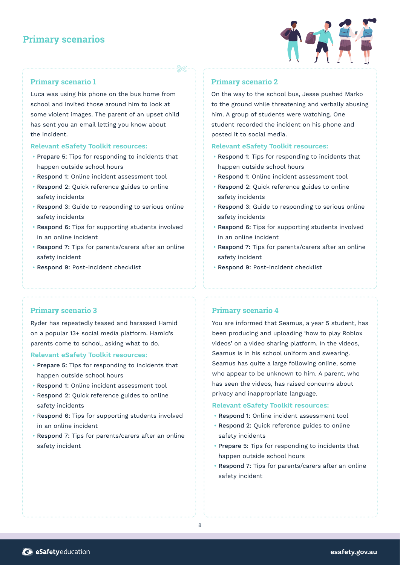# **Primary scenarios**



# **Primary scenario 1**

Luca was using his phone on the bus home from school and invited those around him to look at some violent images. The parent of an upset child has sent you an email letting you know about the incident.

# **Relevant eSafety Toolkit resources:**

- Prepare 5: Tips for responding to incidents that happen outside school hours
- Respond 1: Online incident assessment tool
- Respond 2: Quick reference guides to online safety incidents
- Respond 3: Guide to responding to serious online safety incidents
- Respond 6: Tips for supporting students involved in an online incident
- Respond 7: Tips for parents/carers after an online safety incident
- Respond 9: Post-incident checklist

# **Primary scenario 2**

On the way to the school bus, Jesse pushed Marko to the ground while threatening and verbally abusing him. A group of students were watching. One student recorded the incident on his phone and posted it to social media.

# **Relevant eSafety Toolkit resources:**

- Respond 1: Tips for responding to incidents that happen outside school hours
- Respond 1: Online incident assessment tool
- Respond 2: Quick reference guides to online safety incidents
- Respond 3: Guide to responding to serious online safety incidents
- Respond 6: Tips for supporting students involved in an online incident
- Respond 7: Tips for parents/carers after an online safety incident
- Respond 9: Post-incident checklist

# **Primary scenario 3**

Ryder has repeatedly teased and harassed Hamid on a popular 13+ social media platform. Hamid's parents come to school, asking what to do.

# **Relevant eSafety Toolkit resources:**

- Prepare 5: Tips for responding to incidents that happen outside school hours
- Respond 1: Online incident assessment tool
- Respond 2: Quick reference guides to online safety incidents
- Respond 6: Tips for supporting students involved in an online incident
- Respond 7: Tips for parents/carers after an online safety incident

# **Primary scenario 4**

You are informed that Seamus, a year 5 student, has been producing and uploading 'how to play Roblox videos' on a video sharing platform. In the videos, Seamus is in his school uniform and swearing. Seamus has quite a large following online, some who appear to be unknown to him. A parent, who has seen the videos, has raised concerns about privacy and inappropriate language.

- Respond 1: Online incident assessment tool
- Respond 2: Quick reference guides to online safety incidents
- Prepare 5: Tips for responding to incidents that happen outside school hours
- Respond 7: Tips for parents/carers after an online safety incident